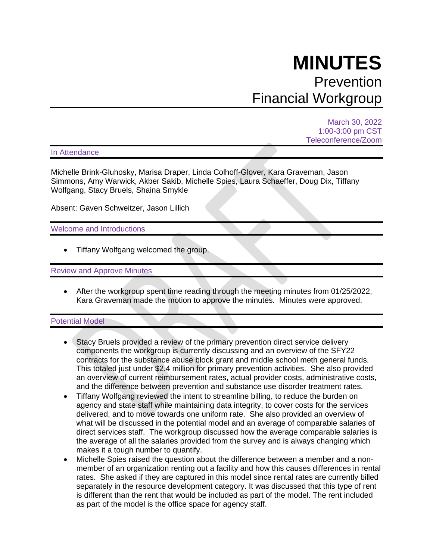# **MINUTES** Prevention Financial Workgroup

March 30, 2022 1:00-3:00 pm CST Teleconference/Zoom

In Attendance

Michelle Brink-Gluhosky, Marisa Draper, Linda Colhoff-Glover, Kara Graveman, Jason Simmons, Amy Warwick, Akber Sakib, Michelle Spies, Laura Schaeffer, Doug Dix, Tiffany Wolfgang, Stacy Bruels, Shaina Smykle

Absent: Gaven Schweitzer, Jason Lillich

Welcome and Introductions

• Tiffany Wolfgang welcomed the group.

Review and Approve Minutes

• After the workgroup spent time reading through the meeting minutes from 01/25/2022, Kara Graveman made the motion to approve the minutes. Minutes were approved.

#### Potential Model

- Stacy Bruels provided a review of the primary prevention direct service delivery components the workgroup is currently discussing and an overview of the SFY22 contracts for the substance abuse block grant and middle school meth general funds. This totaled just under \$2.4 million for primary prevention activities. She also provided an overview of current reimbursement rates, actual provider costs, administrative costs, and the difference between prevention and substance use disorder treatment rates.
- Tiffany Wolfgang reviewed the intent to streamline billing, to reduce the burden on agency and state staff while maintaining data integrity, to cover costs for the services delivered, and to move towards one uniform rate. She also provided an overview of what will be discussed in the potential model and an average of comparable salaries of direct services staff. The workgroup discussed how the average comparable salaries is the average of all the salaries provided from the survey and is always changing which makes it a tough number to quantify.
- Michelle Spies raised the question about the difference between a member and a nonmember of an organization renting out a facility and how this causes differences in rental rates. She asked if they are captured in this model since rental rates are currently billed separately in the resource development category. It was discussed that this type of rent is different than the rent that would be included as part of the model. The rent included as part of the model is the office space for agency staff.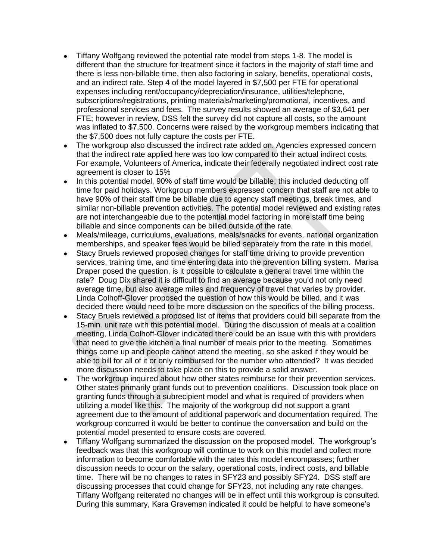- Tiffany Wolfgang reviewed the potential rate model from steps 1-8. The model is different than the structure for treatment since it factors in the majority of staff time and there is less non-billable time, then also factoring in salary, benefits, operational costs, and an indirect rate. Step 4 of the model layered in \$7,500 per FTE for operational expenses including rent/occupancy/depreciation/insurance, utilities/telephone, subscriptions/registrations, printing materials/marketing/promotional, incentives, and professional services and fees. The survey results showed an average of \$3,641 per FTE; however in review, DSS felt the survey did not capture all costs, so the amount was inflated to \$7,500. Concerns were raised by the workgroup members indicating that the \$7,500 does not fully capture the costs per FTE.
- The workgroup also discussed the indirect rate added on. Agencies expressed concern that the indirect rate applied here was too low compared to their actual indirect costs. For example, Volunteers of America, indicate their federally negotiated indirect cost rate agreement is closer to 15%
- In this potential model, 90% of staff time would be billable; this included deducting off time for paid holidays. Workgroup members expressed concern that staff are not able to have 90% of their staff time be billable due to agency staff meetings, break times, and similar non-billable prevention activities. The potential model reviewed and existing rates are not interchangeable due to the potential model factoring in more staff time being billable and since components can be billed outside of the rate.
- Meals/mileage, curriculums, evaluations, meals/snacks for events, national organization memberships, and speaker fees would be billed separately from the rate in this model.
- Stacy Bruels reviewed proposed changes for staff time driving to provide prevention services, training time, and time entering data into the prevention billing system. Marisa Draper posed the question, is it possible to calculate a general travel time within the rate? Doug Dix shared it is difficult to find an average because you'd not only need average time, but also average miles and frequency of travel that varies by provider. Linda Colhoff-Glover proposed the question of how this would be billed, and it was decided there would need to be more discussion on the specifics of the billing process.
- Stacy Bruels reviewed a proposed list of items that providers could bill separate from the 15-min. unit rate with this potential model. During the discussion of meals at a coalition meeting, Linda Colhoff-Glover indicated there could be an issue with this with providers that need to give the kitchen a final number of meals prior to the meeting. Sometimes things come up and people cannot attend the meeting, so she asked if they would be able to bill for all of it or only reimbursed for the number who attended? It was decided more discussion needs to take place on this to provide a solid answer.
- The workgroup inquired about how other states reimburse for their prevention services. Other states primarily grant funds out to prevention coalitions. Discussion took place on granting funds through a subrecipient model and what is required of providers when utilizing a model like this. The majority of the workgroup did not support a grant agreement due to the amount of additional paperwork and documentation required. The workgroup concurred it would be better to continue the conversation and build on the potential model presented to ensure costs are covered.
- Tiffany Wolfgang summarized the discussion on the proposed model. The workgroup's feedback was that this workgroup will continue to work on this model and collect more information to become comfortable with the rates this model encompasses; further discussion needs to occur on the salary, operational costs, indirect costs, and billable time. There will be no changes to rates in SFY23 and possibly SFY24. DSS staff are discussing processes that could change for SFY23, not including any rate changes. Tiffany Wolfgang reiterated no changes will be in effect until this workgroup is consulted. During this summary, Kara Graveman indicated it could be helpful to have someone's